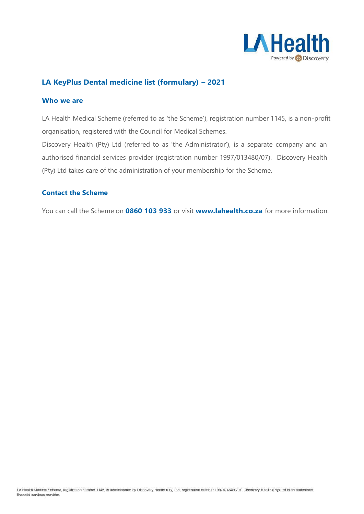

## **LA KeyPlus Dental medicine list (formulary) – 2021**

#### **Who we are**

LA Health Medical Scheme (referred to as 'the Scheme'), registration number 1145, is a non-profit organisation, registered with the Council for Medical Schemes.

Discovery Health (Pty) Ltd (referred to as 'the Administrator'), is a separate company and an authorised financial services provider (registration number 1997/013480/07). Discovery Health (Pty) Ltd takes care of the administration of your membership for the Scheme.

### **Contact the Scheme**

You can call the Scheme on **0860 103 933** or visit **[www.lahealth.co.za](http://www.lahealth.co.za/)** for more information.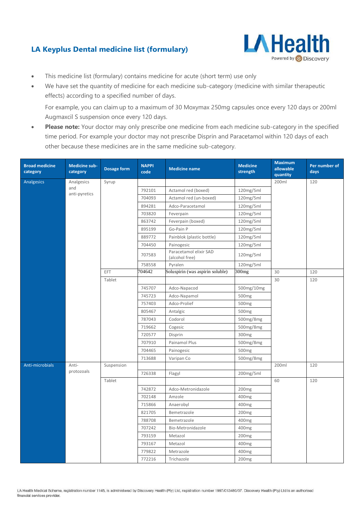# **LA Keyplus Dental medicine list (formulary)**



- This medicine list (formulary) contains medicine for acute (short term) use only
- We have set the quantity of medicine for each medicine sub-category (medicine with similar therapeutic effects) according to a specified number of days.

For example, you can claim up to a maximum of 30 Moxymax 250mg capsules once every 120 days or 200ml Augmaxcil S suspension once every 120 days.

**Please note:** Your doctor may only prescribe one medicine from each medicine sub-category in the specified time period. For example your doctor may not prescribe Disprin and Paracetamol within 120 days of each other because these medicines are in the same medicine sub-category.

| <b>Broad medicine</b><br>category | <b>Medicine sub-</b><br>category | <b>Dosage form</b> | <b>NAPPI</b><br>code | <b>Medicine name</b>                     | <b>Medicine</b><br>strength | <b>Maximum</b><br>allowable<br>quantity | Per number of<br>days |
|-----------------------------------|----------------------------------|--------------------|----------------------|------------------------------------------|-----------------------------|-----------------------------------------|-----------------------|
| Analgesics                        | Analgesics                       | Syrup              |                      |                                          |                             | 200ml                                   | 120                   |
|                                   | and                              |                    | 792101               | Actamol red (boxed)                      | 120mg/5ml                   |                                         |                       |
|                                   | anti-pyretics                    |                    | 704093               | Actamol red (un-boxed)                   | 120mg/5ml                   |                                         |                       |
|                                   |                                  |                    | 894281               | Adco-Paracetamol                         | 120mg/5ml                   |                                         |                       |
|                                   |                                  |                    | 703820               | Feverpain                                | 120mg/5ml                   |                                         |                       |
|                                   |                                  |                    | 863742               | Feverpain (boxed)                        | 120mg/5ml                   |                                         |                       |
|                                   |                                  |                    | 895199               | Go-Pain P                                | 120mg/5ml                   |                                         |                       |
|                                   |                                  |                    | 889772               | Painblok (plastic bottle)                | 120mg/5ml                   |                                         |                       |
|                                   |                                  |                    | 704450               | Painogesic                               | 120mg/5ml                   |                                         |                       |
|                                   |                                  |                    | 707583               | Paracetamol elixir SAD<br>(alcohol free) | 120mg/5ml                   |                                         |                       |
|                                   |                                  |                    | 758558               | Pyralen                                  | 120mg/5ml                   |                                         |                       |
|                                   |                                  | EFT                | 704642               | Soluspirin (was aspirin soluble)         | 300 <sub>mg</sub>           | 30                                      | 120                   |
|                                   |                                  | Tablet             |                      |                                          |                             | 30                                      | 120                   |
|                                   |                                  |                    | 745707               | Adco-Napacod                             | 500mg/10mg                  |                                         |                       |
|                                   |                                  |                    | 745723               | Adco-Napamol                             | 500 <sub>mg</sub>           |                                         |                       |
|                                   |                                  |                    | 757403               | Adco-Prolief                             | 500 <sub>mg</sub>           |                                         |                       |
|                                   |                                  |                    | 805467               | Antalgic                                 | 500 <sub>mg</sub>           |                                         |                       |
|                                   |                                  |                    | 787043               | Codorol                                  | 500mg/8mg                   |                                         |                       |
|                                   |                                  |                    | 719662               | Cogesic                                  | 500mg/8mg                   |                                         |                       |
|                                   |                                  |                    | 720577               | Disprin                                  | 300mg                       |                                         |                       |
|                                   |                                  |                    | 707910               | Painamol Plus                            | 500mg/8mg                   |                                         |                       |
|                                   |                                  |                    | 704465               | Painogesic                               | 500 <sub>mg</sub>           |                                         |                       |
|                                   |                                  |                    | 713688               | Varipan Co                               | 500mg/8mg                   |                                         |                       |
| Anti-microbials                   | Anti-<br>protozoals              | Suspension         |                      |                                          |                             | 200ml                                   | 120                   |
|                                   |                                  |                    | 726338               | Flagyl                                   | 200mg/5ml                   |                                         |                       |
|                                   |                                  | Tablet             |                      |                                          |                             | 60                                      | 120                   |
|                                   |                                  |                    | 742872               | Adco-Metronidazole                       | 200 <sub>mg</sub>           |                                         |                       |
|                                   |                                  |                    | 702148               | Amzole                                   | 400mg                       |                                         |                       |
|                                   |                                  |                    | 715866               | Anaerobyl                                | 400mg                       |                                         |                       |
|                                   |                                  |                    | 821705               | Bemetrazole                              | 200 <sub>mg</sub>           |                                         |                       |
|                                   |                                  |                    | 788708               | Bemetrazole                              | 400 <sub>mg</sub>           |                                         |                       |
|                                   |                                  |                    | 707242               | Bio-Metronidazole                        | 400mg                       |                                         |                       |
|                                   |                                  |                    | 793159               | Metazol                                  | 200 <sub>mg</sub>           |                                         |                       |
|                                   |                                  |                    | 793167               | Metazol                                  | 400mg                       |                                         |                       |
|                                   |                                  |                    | 779822               | Metrazole                                | 400mg                       |                                         |                       |
|                                   |                                  |                    | 772216               | Trichazole                               | 200 <sub>mg</sub>           |                                         |                       |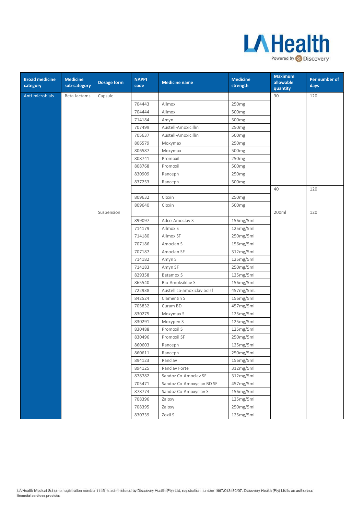

| <b>Broad medicine</b><br>category | <b>Medicine</b><br>sub-category | Dosage form | <b>NAPPI</b><br>code | <b>Medicine name</b>       | <b>Medicine</b><br>strength | <b>Maximum</b><br>allowable<br>quantity | Per number of<br>days |
|-----------------------------------|---------------------------------|-------------|----------------------|----------------------------|-----------------------------|-----------------------------------------|-----------------------|
| Anti-microbials                   | Beta-lactams                    | Capsule     |                      |                            |                             | 30                                      | 120                   |
|                                   |                                 |             | 704443               | Allmox                     | 250 <sub>mg</sub>           |                                         |                       |
|                                   |                                 |             | 704444               | Allmox                     | 500mg                       |                                         |                       |
|                                   |                                 |             | 714184               | Amyn                       | 500 <sub>mg</sub>           |                                         |                       |
|                                   |                                 |             | 707499               | Austell-Amoxicillin        | 250mg                       |                                         |                       |
|                                   |                                 |             | 705637               | Austell-Amoxicillin        | 500 <sub>mg</sub>           |                                         |                       |
|                                   |                                 |             | 806579               | Moxymax                    | 250mg                       |                                         |                       |
|                                   |                                 |             | 806587               | Moxymax                    | 500 <sub>mg</sub>           |                                         |                       |
|                                   |                                 |             | 808741               | Promoxil                   | 250mg                       |                                         |                       |
|                                   |                                 |             | 808768               | Promoxil                   | 500 <sub>mg</sub>           |                                         |                       |
|                                   |                                 |             | 830909               | Ranceph                    | 250mg                       |                                         |                       |
|                                   |                                 |             | 837253               | Ranceph                    | 500 <sub>mg</sub>           |                                         |                       |
|                                   |                                 |             |                      |                            |                             | 40                                      | 120                   |
|                                   |                                 |             | 809632               | Cloxin                     | 250 <sub>mg</sub>           |                                         |                       |
|                                   |                                 |             | 809640               | Cloxin                     | 500mg                       |                                         |                       |
|                                   |                                 | Suspension  |                      |                            |                             | 200ml                                   | 120                   |
|                                   |                                 |             | 899097               | Adco-Amoclav S             | 156mg/5ml                   |                                         |                       |
|                                   |                                 |             | 714179               | Allmox S                   | 125mg/5ml                   |                                         |                       |
|                                   |                                 |             | 714180               | Allmox SF                  | 250mg/5ml                   |                                         |                       |
|                                   |                                 |             | 707186               | Amoclan S                  | 156mg/5ml                   |                                         |                       |
|                                   |                                 |             | 707187               | Amoclan SF                 | 312mg/5ml                   |                                         |                       |
|                                   |                                 |             | 714182               | Amyn S                     | 125mg/5ml                   |                                         |                       |
|                                   |                                 |             | 714183               | Amyn SF                    | 250mg/5ml                   |                                         |                       |
|                                   |                                 |             | 829358               | Betamox S                  | 125mg/5ml                   |                                         |                       |
|                                   |                                 |             | 865540               | Bio-Amoksiklav S           | 156mg/5ml                   |                                         |                       |
|                                   |                                 |             | 722938               | Austell co-amoxiclav bd sf | 457mg/5mL                   |                                         |                       |
|                                   |                                 |             | 842524               | Clamentin S                | 156mg/5ml                   |                                         |                       |
|                                   |                                 |             | 705832               | Curam BD                   | 457mg/5ml                   |                                         |                       |
|                                   |                                 |             | 830275               | Moxymax S                  | 125mg/5ml                   |                                         |                       |
|                                   |                                 |             | 830291               | Moxypen S                  | 125mg/5ml                   |                                         |                       |
|                                   |                                 |             | 830488               | Promoxil S                 | 125mg/5ml                   |                                         |                       |
|                                   |                                 |             | 830496               | Promoxil SF                | 250mg/5ml                   |                                         |                       |
|                                   |                                 |             | 860603               | Ranceph                    | 125mg/5ml                   |                                         |                       |
|                                   |                                 |             | 860611               | Ranceph                    | 250mg/5ml                   |                                         |                       |
|                                   |                                 |             | 894123               | Ranclav                    | 156mg/5ml                   |                                         |                       |
|                                   |                                 |             | 894125               | Ranclav Forte              | 312mg/5ml                   |                                         |                       |
|                                   |                                 |             | 878782               | Sandoz Co-Amoclav SF       | 312mg/5ml                   |                                         |                       |
|                                   |                                 |             | 705471               | Sandoz Co-Amoxyclav BD SF  | 457mg/5ml                   |                                         |                       |
|                                   |                                 |             | 878774               | Sandoz Co-Amoxyclav S      | 156mg/5ml                   |                                         |                       |
|                                   |                                 |             | 708396               | Zaloxy                     | 125mg/5ml                   |                                         |                       |
|                                   |                                 |             | 708395               | Zaloxy                     | 250mg/5ml                   |                                         |                       |
|                                   |                                 |             | 830739               | Zoxil S                    | 125mg/5ml                   |                                         |                       |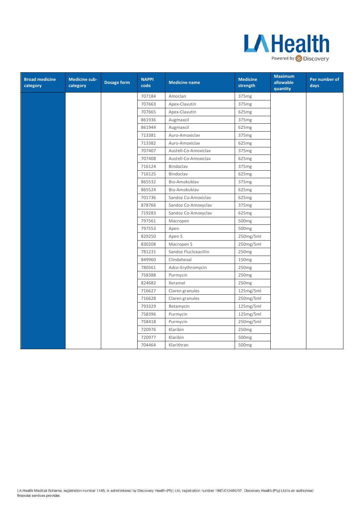

| <b>Broad medicine</b><br>category | Medicine sub-<br>category | Dosage form | <b>NAPPI</b><br>code | <b>Medicine name</b>  | <b>Medicine</b><br>strength | <b>Maximum</b><br>allowable<br>quantity | Per number of<br>days |
|-----------------------------------|---------------------------|-------------|----------------------|-----------------------|-----------------------------|-----------------------------------------|-----------------------|
|                                   |                           |             | 707184               | Amoclan               | 375 <sub>mg</sub>           |                                         |                       |
|                                   |                           |             | 707663               | Apex-Clavutin         | 375mg                       |                                         |                       |
|                                   |                           |             | 707665               | Apex-Clavutin         | 625mg                       |                                         |                       |
|                                   |                           |             | 861936               | Augmaxcil             | 375 <sub>mg</sub>           |                                         |                       |
|                                   |                           |             | 861944               | Augmaxcil             | 625mg                       |                                         |                       |
|                                   |                           |             | 713381               | Auro-Amoxiclav        | 375mg                       |                                         |                       |
|                                   |                           |             | 713382               | Auro-Amoxiclav        | 625mg                       |                                         |                       |
|                                   |                           |             | 707407               | Austell-Co-Amoxiclav  | 375mg                       |                                         |                       |
|                                   |                           |             | 707408               | Austell-Co-Amoxiclav  | 625mg                       |                                         |                       |
|                                   |                           |             | 716124               | Bindoclav             | 375mg                       |                                         |                       |
|                                   |                           |             | 716125               | Bindoclav             | 625mg                       |                                         |                       |
|                                   |                           |             | 865532               | Bio-Amoksiklav        | 375mg                       |                                         |                       |
|                                   |                           |             | 865524               | Bio-Amoksiklav        | 625mg                       |                                         |                       |
|                                   |                           |             | 701736               | Sandoz Co-Amoxiclav   | 625mg                       |                                         |                       |
|                                   |                           |             | 878766               | Sandoz Co-Amoxyclav   | 375mg                       |                                         |                       |
|                                   |                           |             | 719283               | Sandoz Co-Amoxyclav   | 625mg                       |                                         |                       |
|                                   |                           |             | 797561               | Macropen              | 500mg                       |                                         |                       |
|                                   |                           |             | 797553               | Apen                  | 500 <sub>mg</sub>           |                                         |                       |
|                                   |                           |             | 829250               | Apen S                | 250mg/5ml                   |                                         |                       |
|                                   |                           |             | 830208               | Macropen S            | 250mg/5ml                   |                                         |                       |
|                                   |                           |             | 781231               | Sandoz Flucloxacillin | 250mg                       |                                         |                       |
|                                   |                           |             | 849960               | Clindahexal           | 150 <sub>mg</sub>           |                                         |                       |
|                                   |                           |             | 780561               | Adco-Erythromycin     | 250mg                       |                                         |                       |
|                                   |                           |             | 758388               | Purmycin              | 250mg                       |                                         |                       |
|                                   |                           |             | 824682               | Xeramel               | 250mg                       |                                         |                       |
|                                   |                           |             | 716627               | Claren granules       | 125mg/5ml                   |                                         |                       |
|                                   |                           |             | 716628               | Claren granules       | 250mg/5ml                   |                                         |                       |
|                                   |                           |             | 793329               | Betamycin             | 125mg/5ml                   |                                         |                       |
|                                   |                           |             | 758396               | Purmycin              | 125mg/5ml                   |                                         |                       |
|                                   |                           |             | 758418               | Purmycin              | 250mg/5ml                   |                                         |                       |
|                                   |                           |             | 720976               | Klaribin              | 250mg                       |                                         |                       |
|                                   |                           |             | 720977               | Klaribin              | 500mg                       |                                         |                       |
|                                   |                           |             | 704464               | Klarithran            | 500mg                       |                                         |                       |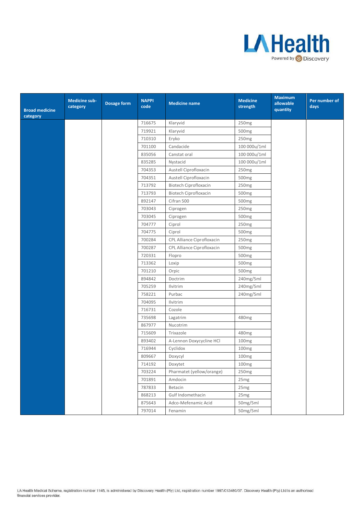

| <b>Broad medicine</b><br>category | <b>Medicine sub-</b><br>category | Dosage form | <b>NAPPI</b><br>code | <b>Medicine name</b>         | <b>Medicine</b><br>strength | <b>Maximum</b><br>allowable<br>quantity | Per number of<br>days |
|-----------------------------------|----------------------------------|-------------|----------------------|------------------------------|-----------------------------|-----------------------------------------|-----------------------|
|                                   |                                  |             | 716675               | Klaryvid                     | 250mg                       |                                         |                       |
|                                   |                                  |             | 719921               | Klaryvid                     | 500 <sub>mg</sub>           |                                         |                       |
|                                   |                                  |             | 710310               | Eryko                        | 250mg                       |                                         |                       |
|                                   |                                  |             | 701100               | Candacide                    | 100 000u/1ml                |                                         |                       |
|                                   |                                  |             | 835056               | Canstat oral                 | 100 000u/1ml                |                                         |                       |
|                                   |                                  |             | 835285               | Nystacid                     | 100 000u/1ml                |                                         |                       |
|                                   |                                  |             | 704353               | Austell Ciprofloxacin        | 250mg                       |                                         |                       |
|                                   |                                  |             | 704351               | Austell Ciprofloxacin        | 500mg                       |                                         |                       |
|                                   |                                  |             | 713792               | <b>Biotech Ciprofloxacin</b> | 250mg                       |                                         |                       |
|                                   |                                  |             | 713793               | <b>Biotech Ciprofloxacin</b> | 500mg                       |                                         |                       |
|                                   |                                  |             | 892147               | Cifran 500                   | 500 <sub>mg</sub>           |                                         |                       |
|                                   |                                  |             | 703043               | Ciprogen                     | 250mg                       |                                         |                       |
|                                   |                                  |             | 703045               | Ciprogen                     | 500mg                       |                                         |                       |
|                                   |                                  |             | 704777               | Ciprol                       | 250mg                       |                                         |                       |
|                                   |                                  |             | 704775               | Ciprol                       | 500mg                       |                                         |                       |
|                                   |                                  |             | 700284               | CPL Alliance Ciprofloxacin   | 250mg                       |                                         |                       |
|                                   |                                  |             | 700287               | CPL Alliance Ciprofloxacin   | 500mg                       |                                         |                       |
|                                   |                                  |             | 720331               | Flopro                       | 500 <sub>mg</sub>           |                                         |                       |
|                                   |                                  |             | 713362               | Loxip                        | 500 <sub>mg</sub>           |                                         |                       |
|                                   |                                  |             | 701210               | Orpic                        | 500 <sub>mg</sub>           |                                         |                       |
|                                   |                                  |             | 894842               | Doctrim                      | 240mg/5ml                   |                                         |                       |
|                                   |                                  |             | 705259               | Ilvitrim                     | 240mg/5ml                   |                                         |                       |
|                                   |                                  |             | 758221               | Purbac                       | 240mg/5ml                   |                                         |                       |
|                                   |                                  |             | 704095               | Ilvitrim                     |                             |                                         |                       |
|                                   |                                  |             | 716731               | Cozole                       |                             |                                         |                       |
|                                   |                                  |             | 735698               | Lagatrim                     | 480mg                       |                                         |                       |
|                                   |                                  |             | 867977               | Nucotrim                     |                             |                                         |                       |
|                                   |                                  |             | 715609               | Trixazole                    | 480mg                       |                                         |                       |
|                                   |                                  |             | 893402               | A-Lennon Doxycycline HCl     | 100mg                       |                                         |                       |
|                                   |                                  |             | 716944               | Cyclidox                     | 100 <sub>mg</sub>           |                                         |                       |
|                                   |                                  |             | 809667               | Doxycyl                      | 100 <sub>mg</sub>           |                                         |                       |
|                                   |                                  |             | 714192               | Doxytet                      | 100mg                       |                                         |                       |
|                                   |                                  |             | 703224               | Pharmatet (yellow/orange)    | 250mg                       |                                         |                       |
|                                   |                                  |             | 701891               | Amdocin                      | 25mg                        |                                         |                       |
|                                   |                                  |             | 787833               | Betacin                      | 25mg                        |                                         |                       |
|                                   |                                  |             | 868213               | Gulf Indomethacin            | 25mg                        |                                         |                       |
|                                   |                                  |             | 875643               | Adco-Mefenamic Acid          | 50mg/5ml                    |                                         |                       |
|                                   |                                  |             | 797014               | Fenamin                      | 50mg/5ml                    |                                         |                       |